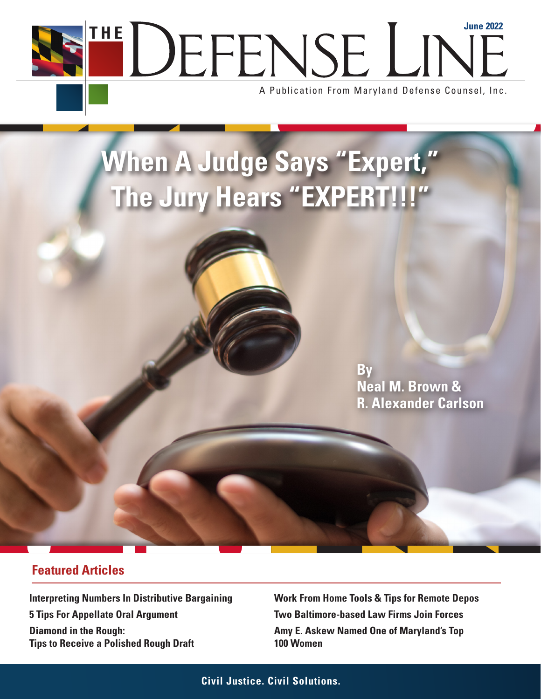THE DEFENSE LINE

A Publication From Maryland Defense Counsel, Inc.

# **When A Judge Says "Expert," The Jury Hears "EXPERT!!!"**

**By Neal M. Brown & R. Alexander Carlson**

### **Featured Articles**

**Interpreting Numbers In Distributive Bargaining 5 Tips For Appellate Oral Argument Diamond in the Rough: Tips to Receive a Polished Rough Draft** 

**Work From Home Tools & Tips for Remote Depos Two Baltimore-based Law Firms Join Forces Amy E. Askew Named One of Maryland's Top 100 Women**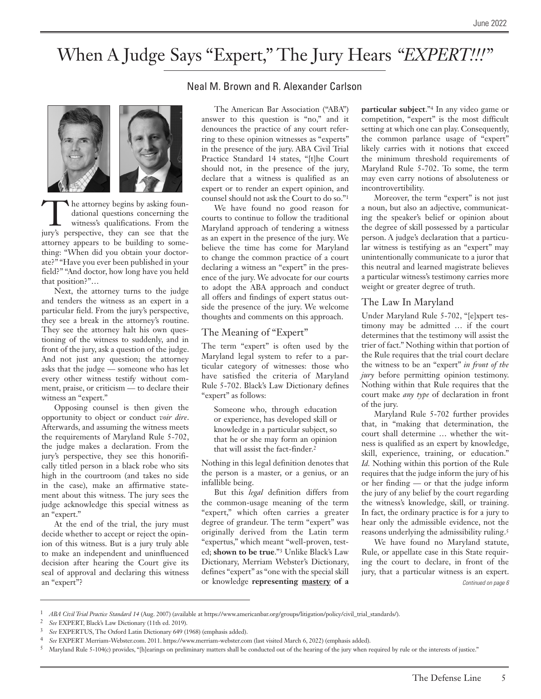# When A Judge Says "Expert," The Jury Hears *"EXPERT!!!"*





The attorney begins by asking foundational questions concerning the witness's qualifications. From the jury's perspective, they can see that the attorney appears to be building to something: "When did you obtain your doctorate?" "Have you ever been published in your field?" "And doctor, how long have you held that position?"…

Next, the attorney turns to the judge and tenders the witness as an expert in a particular field. From the jury's perspective, they see a break in the attorney's routine. They see the attorney halt his own questioning of the witness to suddenly, and in front of the jury, ask a question of the judge. And not just any question; the attorney asks that the judge — someone who has let every other witness testify without comment, praise, or criticism — to declare their witness an "expert."

Opposing counsel is then given the opportunity to object or conduct *voir dire*. Afterwards, and assuming the witness meets the requirements of Maryland Rule 5-702, the judge makes a declaration. From the jury's perspective, they see this honorifically titled person in a black robe who sits high in the courtroom (and takes no side in the case), make an affirmative statement about this witness. The jury sees the judge acknowledge this special witness as an "expert."

At the end of the trial, the jury must decide whether to accept or reject the opinion of this witness. But is a jury truly able to make an independent and uninfluenced decision after hearing the Court give its seal of approval and declaring this witness an "expert"?

#### Neal M. Brown and R. Alexander Carlson

The American Bar Association ("ABA") answer to this question is "no," and it denounces the practice of any court referring to these opinion witnesses as "experts" in the presence of the jury. ABA Civil Trial Practice Standard 14 states, "[t]he Court should not, in the presence of the jury, declare that a witness is qualified as an expert or to render an expert opinion, and counsel should not ask the Court to do so."1

We have found no good reason for courts to continue to follow the traditional Maryland approach of tendering a witness as an expert in the presence of the jury. We believe the time has come for Maryland to change the common practice of a court declaring a witness an "expert" in the presence of the jury. We advocate for our courts to adopt the ABA approach and conduct all offers and findings of expert status outside the presence of the jury. We welcome thoughts and comments on this approach.

#### The Meaning of "Expert"

The term "expert" is often used by the Maryland legal system to refer to a particular category of witnesses: those who have satisfied the criteria of Maryland Rule 5-702. Black's Law Dictionary defines "expert" as follows:

Someone who, through education or experience, has developed skill or knowledge in a particular subject, so that he or she may form an opinion that will assist the fact-finder.2

Nothing in this legal definition denotes that the person is a master, or a genius, or an infallible being.

But this *legal* definition differs from the common-usage meaning of the term "expert," which often carries a greater degree of grandeur. The term "expert" was originally derived from the Latin term "expertus," which meant "well-proven, tested; **shown to be true**."3 Unlike Black's Law Dictionary, Merriam Webster's Dictionary, defines "expert" as "one with the special skill or knowledge **representing mastery of a** 

**particular subject**."4 In any video game or competition, "expert" is the most difficult setting at which one can play. Consequently, the common parlance usage of "expert" likely carries with it notions that exceed the minimum threshold requirements of Maryland Rule 5-702. To some, the term may even carry notions of absoluteness or incontrovertibility.

Moreover, the term "expert" is not just a noun, but also an adjective, communicating the speaker's belief or opinion about the degree of skill possessed by a particular person. A judge's declaration that a particular witness is testifying as an "expert" may unintentionally communicate to a juror that this neutral and learned magistrate believes a particular witness's testimony carries more weight or greater degree of truth.

#### The Law In Maryland

Under Maryland Rule 5-702, "[e]xpert testimony may be admitted … if the court determines that the testimony will assist the trier of fact." Nothing within that portion of the Rule requires that the trial court declare the witness to be an "expert" *in front of the jury* before permitting opinion testimony. Nothing within that Rule requires that the court make *any type* of declaration in front of the jury.

Maryland Rule 5-702 further provides that, in "making that determination, the court shall determine … whether the witness is qualified as an expert by knowledge, skill, experience, training, or education." *Id.* Nothing within this portion of the Rule requires that the judge inform the jury of his or her finding — or that the judge inform the jury of any belief by the court regarding the witness's knowledge, skill, or training. In fact, the ordinary practice is for a jury to hear only the admissible evidence, not the reasons underlying the admissibility ruling.5

We have found no Maryland statute, Rule, or appellate case in this State requiring the court to declare, in front of the jury, that a particular witness is an expert. *Continued on page 6*

<sup>1</sup> *ABA Civil Trial Practice Standard 14* (Aug. 2007) (available at https://www.americanbar.org/groups/litigation/policy/civil\_trial\_standards/).

<sup>2</sup> *See* EXPERT, Black's Law Dictionary (11th ed. 2019).

See EXPERTUS, The Oxford Latin Dictionary 649 (1968) (emphasis added).

<sup>4</sup> *See* EXPERT Merriam-Webster.com. 2011. https://www.merriam-webster.com (last visited March 6, 2022) (emphasis added).

<sup>&</sup>lt;sup>5</sup> Maryland Rule 5-104(c) provides, "[h]earings on preliminary matters shall be conducted out of the hearing of the jury when required by rule or the interests of justice."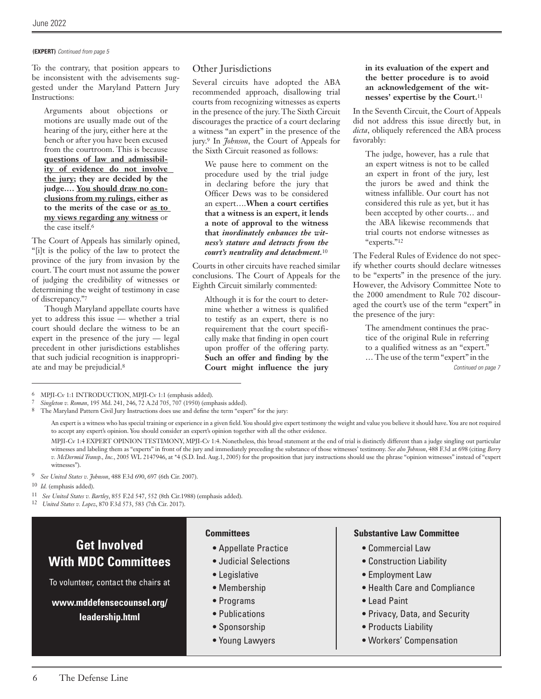#### **(EXPERT)** *Continued from page 5*

To the contrary, that position appears to be inconsistent with the advisements suggested under the Maryland Pattern Jury Instructions:

Arguments about objections or motions are usually made out of the hearing of the jury, either here at the bench or after you have been excused from the courtroom. This is because **questions of law and admissibility of evidence do not involve the jury; they are decided by the judge.… You should draw no conclusions from my rulings, either as to the merits of the case or as to my views regarding any witness** or the case itself.6

The Court of Appeals has similarly opined, "[i]t is the policy of the law to protect the province of the jury from invasion by the court. The court must not assume the power of judging the credibility of witnesses or determining the weight of testimony in case of discrepancy."7

Though Maryland appellate courts have yet to address this issue — whether a trial court should declare the witness to be an expert in the presence of the jury — legal precedent in other jurisdictions establishes that such judicial recognition is inappropriate and may be prejudicial.8

#### Other Jurisdictions

Several circuits have adopted the ABA recommended approach, disallowing trial courts from recognizing witnesses as experts in the presence of the jury. The Sixth Circuit discourages the practice of a court declaring a witness "an expert" in the presence of the jury.9 In *Johnson*, the Court of Appeals for the Sixth Circuit reasoned as follows:

We pause here to comment on the procedure used by the trial judge in declaring before the jury that Officer Dews was to be considered an expert….**When a court certifies that a witness is an expert, it lends a note of approval to the witness that** *inordinately enhances the witness's stature and detracts from the court's neutrality and detachment.*<sup>10</sup>

Courts in other circuits have reached similar conclusions. The Court of Appeals for the Eighth Circuit similarly commented:

Although it is for the court to determine whether a witness is qualified to testify as an expert, there is no requirement that the court specifically make that finding in open court upon proffer of the offering party. **Such an offer and finding by the Court might influence the jury**  **in its evaluation of the expert and the better procedure is to avoid an acknowledgement of the witnesses' expertise by the Court.**<sup>11</sup>

In the Seventh Circuit, the Court of Appeals did not address this issue directly but, in *dicta*, obliquely referenced the ABA process favorably:

The judge, however, has a rule that an expert witness is not to be called an expert in front of the jury, lest the jurors be awed and think the witness infallible. Our court has not considered this rule as yet, but it has been accepted by other courts… and the ABA likewise recommends that trial courts not endorse witnesses as "experts."12

The Federal Rules of Evidence do not specify whether courts should declare witnesses to be "experts" in the presence of the jury. However, the Advisory Committee Note to the 2000 amendment to Rule 702 discouraged the court's use of the term "expert" in the presence of the jury:

The amendment continues the practice of the original Rule in referring to a qualified witness as an "expert." … The use of the term "expert" in the *Continued on page 7*

6 MPJI-Cv 1:1 INTRODUCTION, MPJI-Cv 1:1 (emphasis added).

7 *Singleton v. Roman*, 195 Md. 241, 246, 72 A.2d 705, 707 (1950) (emphasis added).

8 The Maryland Pattern Civil Jury Instructions does use and define the term "expert" for the jury:

 An expert is a witness who has special training or experience in a given field. You should give expert testimony the weight and value you believe it should have. You are not required to accept any expert's opinion. You should consider an expert's opinion together with all the other evidence.

 MPJI-Cv 1:4 EXPERT OPINION TESTIMONY, MPJI-Cv 1:4. Nonetheless, this broad statement at the end of trial is distinctly different than a judge singling out particular witnesses and labeling them as "experts" in front of the jury and immediately preceding the substance of those witnesses' testimony. *See also Johnson*, 488 F.3d at 698 (citing *Berry v. McDermid Transp., Inc.*, 2005 WL 2147946, at \*4 (S.D. Ind. Aug.1, 2005) for the proposition that jury instructions should use the phrase "opinion witnesses" instead of "expert witnesses").

- 10 *Id.* (emphasis added).
- 11 *See United States v. Bartley*, 855 F.2d 547, 552 (8th Cir.1988) (emphasis added).

12 *United States v. Lopez*, 870 F.3d 573, 583 (7th Cir. 2017).

## **Get Involved With MDC Committees**

To volunteer, contact the chairs at

**www.mddefensecounsel.org/ leadership.html**

#### **Committees**

- **•** Appellate Practice
- Judicial Selections
- Legislative
- Membership
- Programs
- Publications
- Sponsorship
- Young Lawyers

#### **Substantive Law Committee**

- Commercial Law
- Construction Liability
- Employment Law
- Health Care and Compliance
- Lead Paint
- Privacy, Data, and Security
- Products Liability
- Workers' Compensation

<sup>9</sup> *See United States v. Johnson*, 488 F.3d 690, 697 (6th Cir. 2007).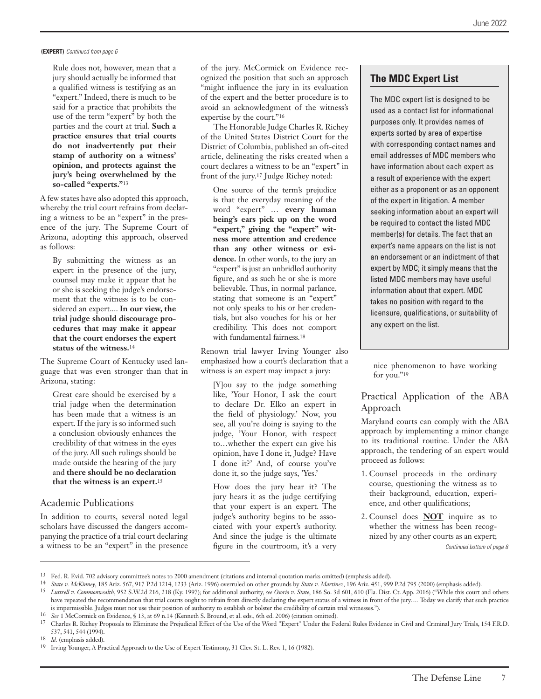**(EXPERT)** *Continued from page 6*

Rule does not, however, mean that a jury should actually be informed that a qualified witness is testifying as an "expert." Indeed, there is much to be said for a practice that prohibits the use of the term "expert" by both the parties and the court at trial. **Such a practice ensures that trial courts do not inadvertently put their stamp of authority on a witness' opinion, and protects against the jury's being overwhelmed by the so-called "experts."**<sup>13</sup>

A few states have also adopted this approach, whereby the trial court refrains from declaring a witness to be an "expert" in the presence of the jury. The Supreme Court of Arizona, adopting this approach, observed as follows:

By submitting the witness as an expert in the presence of the jury, counsel may make it appear that he or she is seeking the judge's endorsement that the witness is to be considered an expert.... **In our view, the trial judge should discourage procedures that may make it appear that the court endorses the expert status of the witness.**<sup>14</sup>

The Supreme Court of Kentucky used language that was even stronger than that in Arizona, stating:

Great care should be exercised by a trial judge when the determination has been made that a witness is an expert. If the jury is so informed such a conclusion obviously enhances the credibility of that witness in the eyes of the jury. All such rulings should be made outside the hearing of the jury and **there should be no declaration that the witness is an expert.**<sup>15</sup>

#### Academic Publications

In addition to courts, several noted legal scholars have discussed the dangers accompanying the practice of a trial court declaring a witness to be an "expert" in the presence of the jury. McCormick on Evidence recognized the position that such an approach "might influence the jury in its evaluation of the expert and the better procedure is to avoid an acknowledgment of the witness's expertise by the court."16

The Honorable Judge Charles R. Richey of the United States District Court for the District of Columbia, published an oft-cited article, delineating the risks created when a court declares a witness to be an "expert" in front of the jury.17 Judge Richey noted:

One source of the term's prejudice is that the everyday meaning of the word "expert" … **every human being's ears pick up on the word "expert," giving the "expert" witness more attention and credence than any other witness or evidence.** In other words, to the jury an "expert" is just an unbridled authority figure, and as such he or she is more believable. Thus, in normal parlance, stating that someone is an "expert" not only speaks to his or her credentials, but also vouches for his or her credibility. This does not comport with fundamental fairness.18

Renown trial lawyer Irving Younger also emphasized how a court's declaration that a witness is an expert may impact a jury:

[Y]ou say to the judge something like, 'Your Honor, I ask the court to declare Dr. Elko an expert in the field of physiology.' Now, you see, all you're doing is saying to the judge, 'Your Honor, with respect to…whether the expert can give his opinion, have I done it, Judge? Have I done it?' And, of course you've done it, so the judge says, 'Yes.'

How does the jury hear it? The jury hears it as the judge certifying that your expert is an expert. The judge's authority begins to be associated with your expert's authority. And since the judge is the ultimate figure in the courtroom, it's a very

#### **The MDC Expert List**

The MDC expert list is designed to be used as a contact list for informational purposes only. It provides names of experts sorted by area of expertise with corresponding contact names and email addresses of MDC members who have information about each expert as a result of experience with the expert either as a proponent or as an opponent of the expert in litigation. A member seeking information about an expert will be required to contact the listed MDC member(s) for details. The fact that an expert's name appears on the list is not an endorsement or an indictment of that expert by MDC; it simply means that the listed MDC members may have useful information about that expert. MDC takes no position with regard to the licensure, qualifications, or suitability of any expert on the list.

nice phenomenon to have working for you."<sup>19</sup>

#### Practical Application of the ABA Approach

Maryland courts can comply with the ABA approach by implementing a minor change to its traditional routine. Under the ABA approach, the tendering of an expert would proceed as follows:

- 1. Counsel proceeds in the ordinary course, questioning the witness as to their background, education, experience, and other qualifications;
- 2. Counsel does **NOT** inquire as to whether the witness has been recognized by any other courts as an expert; *Continued bottom of page 8*

<sup>13</sup> Fed. R. Evid. 702 advisory committee's notes to 2000 amendment (citations and internal quotation marks omitted) (emphasis added).

<sup>14</sup> *State v. McKinney*, 185 Ariz. 567, 917 P.2d 1214, 1233 (Ariz. 1996) overruled on other grounds by *State v. Martinez*, 196 Ariz. 451, 999 P.2d 795 (2000) (emphasis added).

<sup>15</sup> *Luttrell v. Commonwealth*, 952 S.W.2d 216, 218 (Ky. 1997); for additional authority, *see Osorio v. State*, 186 So. 3d 601, 610 (Fla. Dist. Ct. App. 2016) ("While this court and others have repeated the recommendation that trial courts ought to refrain from directly declaring the expert status of a witness in front of the jury.... Today we clarify that such practice is impermissible. Judges must not use their position of authority to establish or bolster the credibility of certain trial witnesses.").

<sup>16</sup> *See* 1 McCormick on Evidence, § 13, at 69 n.14 (Kenneth S. Bround, et al. eds., 6th ed. 2006) (citation omitted).

<sup>17</sup> Charles R. Richey Proposals to Eliminate the Prejudicial Effect of the Use of the Word "Expert" Under the Federal Rules Evidence in Civil and Criminal Jury Trials, 154 F.R.D. 537, 541, 544 (1994).

<sup>18</sup> *Id.* (emphasis added).

<sup>19</sup> Irving Younger, A Practical Approach to the Use of Expert Testimony, 31 Clev. St. L. Rev. 1, 16 (1982).